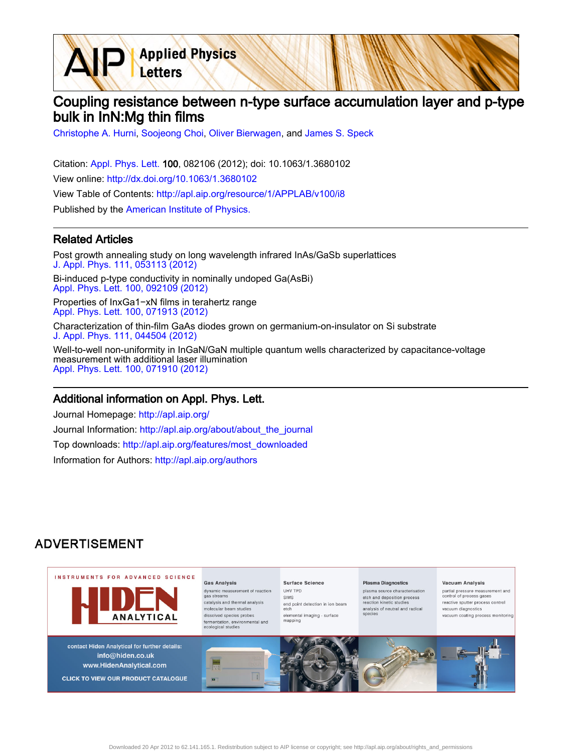**Applied Physics** Letters

# Coupling resistance between n-type surface accumulation layer and p-type bulk in InN:Mg thin films

[Christophe A. Hurni](http://apl.aip.org/search?sortby=newestdate&q=&searchzone=2&searchtype=searchin&faceted=faceted&key=AIP_ALL&possible1=Christophe A. Hurni&possible1zone=author&alias=&displayid=AIP&ver=pdfcov), [Soojeong Choi](http://apl.aip.org/search?sortby=newestdate&q=&searchzone=2&searchtype=searchin&faceted=faceted&key=AIP_ALL&possible1=Soojeong Choi&possible1zone=author&alias=&displayid=AIP&ver=pdfcov), [Oliver Bierwagen,](http://apl.aip.org/search?sortby=newestdate&q=&searchzone=2&searchtype=searchin&faceted=faceted&key=AIP_ALL&possible1=Oliver Bierwagen&possible1zone=author&alias=&displayid=AIP&ver=pdfcov) and [James S. Speck](http://apl.aip.org/search?sortby=newestdate&q=&searchzone=2&searchtype=searchin&faceted=faceted&key=AIP_ALL&possible1=James S. Speck&possible1zone=author&alias=&displayid=AIP&ver=pdfcov)

Citation: [Appl. Phys. Lett. 1](http://apl.aip.org/?ver=pdfcov)00, 082106 (2012); doi: 10.1063/1.3680102 View online: [http://dx.doi.org/10.1063/1.3680102](http://link.aip.org/link/doi/10.1063/1.3680102?ver=pdfcov) View Table of Contents: [http://apl.aip.org/resource/1/APPLAB/v100/i8](http://apl.aip.org/resource/1/APPLAB/v100/i8?ver=pdfcov) Published by the [American Institute of Physics.](http://www.aip.org/?ver=pdfcov)

#### Related Articles

Post growth annealing study on long wavelength infrared InAs/GaSb superlattices [J. Appl. Phys. 111, 053113 \(2012\)](http://link.aip.org/link/doi/10.1063/1.3693535?ver=pdfcov)

Bi-induced p-type conductivity in nominally undoped Ga(AsBi) [Appl. Phys. Lett. 100, 092109 \(2012\)](http://link.aip.org/link/doi/10.1063/1.3690901?ver=pdfcov)

Properties of InxGa1−xN films in terahertz range [Appl. Phys. Lett. 100, 071913 \(2012\)](http://link.aip.org/link/doi/10.1063/1.3684836?ver=pdfcov)

Characterization of thin-film GaAs diodes grown on germanium-on-insulator on Si substrate [J. Appl. Phys. 111, 044504 \(2012\)](http://link.aip.org/link/doi/10.1063/1.3686182?ver=pdfcov)

Well-to-well non-uniformity in InGaN/GaN multiple quantum wells characterized by capacitance-voltage measurement with additional laser illumination [Appl. Phys. Lett. 100, 071910 \(2012\)](http://link.aip.org/link/doi/10.1063/1.3685717?ver=pdfcov)

#### Additional information on Appl. Phys. Lett.

Journal Homepage: [http://apl.aip.org/](http://apl.aip.org/?ver=pdfcov) Journal Information: [http://apl.aip.org/about/about\\_the\\_journal](http://apl.aip.org/about/about_the_journal?ver=pdfcov) Top downloads: [http://apl.aip.org/features/most\\_downloaded](http://apl.aip.org/features/most_downloaded?ver=pdfcov) Information for Authors: [http://apl.aip.org/authors](http://apl.aip.org/authors?ver=pdfcov)

### **ADVERTISEMENT**

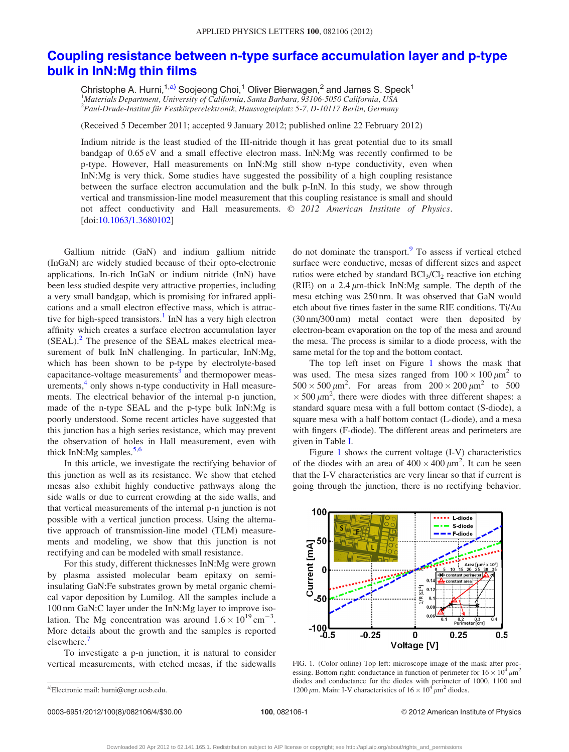## <span id="page-1-0"></span>[Coupling resistance between n-type surface accumulation layer and p-type](http://dx.doi.org/10.1063/1.3680102) [bulk in InN:Mg thin films](http://dx.doi.org/10.1063/1.3680102)

Christophe A. Hurni,<sup>1,a)</sup> Soojeong Choi,<sup>1</sup> Oliver Bierwagen,<sup>2</sup> and James S. Speck<sup>1</sup> 1 Materials Department, University of California, Santa Barbara, 93106-5050 California, USA <sup>2</sup>Paul-Drude-Institut für Festkörperelektronik, Hausvogteiplatz 5-7, D-10117 Berlin, Germany

(Received 5 December 2011; accepted 9 January 2012; published online 22 February 2012)

Indium nitride is the least studied of the III-nitride though it has great potential due to its small bandgap of 0.65 eV and a small effective electron mass. InN:Mg was recently confirmed to be p-type. However, Hall measurements on InN:Mg still show n-type conductivity, even when InN:Mg is very thick. Some studies have suggested the possibility of a high coupling resistance between the surface electron accumulation and the bulk p-InN. In this study, we show through vertical and transmission-line model measurement that this coupling resistance is small and should not affect conductivity and Hall measurements. © 2012 American Institute of Physics. [doi:[10.1063/1.3680102\]](http://dx.doi.org/10.1063/1.3680102)

Gallium nitride (GaN) and indium gallium nitride (InGaN) are widely studied because of their opto-electronic applications. In-rich InGaN or indium nitride (InN) have been less studied despite very attractive properties, including a very small bandgap, which is promising for infrared applications and a small electron effective mass, which is attrac-tive for high-speed transistors.<sup>[1](#page-4-0)</sup> InN has a very high electron affinity which creates a surface electron accumulation layer  $(SEAL)<sup>2</sup>$  $(SEAL)<sup>2</sup>$  $(SEAL)<sup>2</sup>$  The presence of the SEAL makes electrical measurement of bulk InN challenging. In particular, InN:Mg, which has been shown to be p-type by electrolyte-based capacitance-voltage measurements<sup>[3](#page-4-0)</sup> and thermopower measurements, $<sup>4</sup>$  $<sup>4</sup>$  $<sup>4</sup>$  only shows n-type conductivity in Hall measure-</sup> ments. The electrical behavior of the internal p-n junction, made of the n-type SEAL and the p-type bulk InN:Mg is poorly understood. Some recent articles have suggested that this junction has a high series resistance, which may prevent the observation of holes in Hall measurement, even with thick InN:Mg samples. $5,6$ 

In this article, we investigate the rectifying behavior of this junction as well as its resistance. We show that etched mesas also exhibit highly conductive pathways along the side walls or due to current crowding at the side walls, and that vertical measurements of the internal p-n junction is not possible with a vertical junction process. Using the alternative approach of transmission-line model (TLM) measurements and modeling, we show that this junction is not rectifying and can be modeled with small resistance.

For this study, different thicknesses InN:Mg were grown by plasma assisted molecular beam epitaxy on semiinsulating GaN:Fe substrates grown by metal organic chemical vapor deposition by Lumilog. All the samples include a 100 nm GaN:C layer under the InN:Mg layer to improve isolation. The Mg concentration was around  $1.6 \times 10^{19}$  cm<sup>-3</sup>. More details about the growth and the samples is reported elsewhere.<sup>[7](#page-4-0)</sup>

To investigate a p-n junction, it is natural to consider vertical measurements, with etched mesas, if the sidewalls

do not dominate the transport.<sup>[9](#page-4-0)</sup> To assess if vertical etched surface were conductive, mesas of different sizes and aspect ratios were etched by standard  $BCl<sub>3</sub>/Cl<sub>2</sub>$  reactive ion etching (RIE) on a 2.4  $\mu$ m-thick InN:Mg sample. The depth of the mesa etching was 250 nm. It was observed that GaN would etch about five times faster in the same RIE conditions. Ti/Au (30 nm/300 nm) metal contact were then deposited by electron-beam evaporation on the top of the mesa and around the mesa. The process is similar to a diode process, with the same metal for the top and the bottom contact.

The top left inset on Figure 1 shows the mask that was used. The mesa sizes ranged from  $100 \times 100 \mu m^2$  to  $500 \times 500 \mu m^2$ . For areas from  $200 \times 200 \mu m^2$  to 500  $\times$  500  $\mu$ m<sup>2</sup>, there were diodes with three different shapes: a standard square mesa with a full bottom contact (S-diode), a square mesa with a half bottom contact (L-diode), and a mesa with fingers (F-diode). The different areas and perimeters are given in Table [I.](#page-2-0)

Figure 1 shows the current voltage (I-V) characteristics of the diodes with an area of  $400 \times 400 \mu m^2$ . It can be seen that the I-V characteristics are very linear so that if current is going through the junction, there is no rectifying behavior.



FIG. 1. (Color online) Top left: microscope image of the mask after processing. Bottom right: conductance in function of perimeter for  $16 \times 10^4 \mu m^2$ diodes and conductance for the diodes with perimeter of 1000, 1100 and <sup>a)</sup>Electronic mail: hurni@engr.ucsb.edu.  $1200 \mu$ m. Main: I-V characteristics of  $16 \times 10^4 \mu$ m<sup>2</sup> diodes.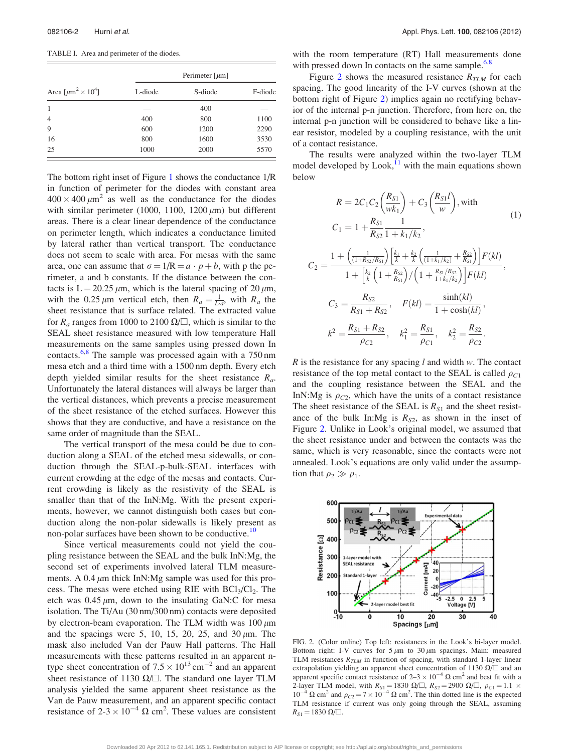<span id="page-2-0"></span>TABLE I. Area and perimeter of the diodes.

| Area $\left[\mu\text{m}^2 \times 10^4\right]$ | Perimeter $[\mu m]$ |         |         |
|-----------------------------------------------|---------------------|---------|---------|
|                                               | L-diode             | S-diode | F-diode |
| 1                                             |                     | 400     |         |
| $\overline{4}$                                | 400                 | 800     | 1100    |
| 9                                             | 600                 | 1200    | 2290    |
| 16                                            | 800                 | 1600    | 3530    |
| 25                                            | 1000                | 2000    | 5570    |

The bottom right inset of Figure [1](#page-1-0) shows the conductance 1/R in function of perimeter for the diodes with constant area  $400 \times 400 \mu m^2$  as well as the conductance for the diodes with similar perimeter (1000, 1100, 1200  $\mu$ m) but different areas. There is a clear linear dependence of the conductance on perimeter length, which indicates a conductance limited by lateral rather than vertical transport. The conductance does not seem to scale with area. For mesas with the same area, one can assume that  $\sigma = 1/R = a \cdot p + b$ , with p the perimeter, a and b constants. If the distance between the contacts is  $L = 20.25 \mu m$ , which is the lateral spacing of 20  $\mu m$ , with the 0.25  $\mu$ m vertical etch, then  $R_a = \frac{1}{L_a}$ , with  $R_a$  the sheet resistance that is surface related. The extracted value for  $R_a$  ranges from 1000 to 2100  $\Omega/\square$ , which is similar to the SEAL sheet resistance measured with low temperature Hall measurements on the same samples using pressed down In contacts.<sup>[6,8](#page-4-0)</sup> The sample was processed again with a  $750 \text{ nm}$ mesa etch and a third time with a 1500 nm depth. Every etch depth yielded similar results for the sheet resistance  $R_a$ . Unfortunately the lateral distances will always be larger than the vertical distances, which prevents a precise measurement of the sheet resistance of the etched surfaces. However this shows that they are conductive, and have a resistance on the same order of magnitude than the SEAL.

The vertical transport of the mesa could be due to conduction along a SEAL of the etched mesa sidewalls, or conduction through the SEAL-p-bulk-SEAL interfaces with current crowding at the edge of the mesas and contacts. Current crowding is likely as the resistivity of the SEAL is smaller than that of the InN:Mg. With the present experiments, however, we cannot distinguish both cases but conduction along the non-polar sidewalls is likely present as non-polar surfaces have been shown to be conductive.<sup>[10](#page-4-0)</sup>

Since vertical measurements could not yield the coupling resistance between the SEAL and the bulk InN:Mg, the second set of experiments involved lateral TLM measurements. A 0.4  $\mu$ m thick InN:Mg sample was used for this process. The mesas were etched using RIE with  $BCl<sub>3</sub>/Cl<sub>2</sub>$ . The etch was  $0.45 \mu m$ , down to the insulating GaN:C for mesa isolation. The Ti/Au (30 nm/300 nm) contacts were deposited by electron-beam evaporation. The TLM width was  $100 \mu m$ and the spacings were 5, 10, 15, 20, 25, and  $30 \mu m$ . The mask also included Van der Pauw Hall patterns. The Hall measurements with these patterns resulted in an apparent ntype sheet concentration of  $7.5 \times 10^{13}$  cm<sup>-2</sup> and an apparent sheet resistance of 1130  $\Omega/\square$ . The standard one layer TLM analysis yielded the same apparent sheet resistance as the Van de Pauw measurement, and an apparent specific contact resistance of  $2-3 \times 10^{-4} \Omega \text{ cm}^2$ . These values are consistent

with the room temperature (RT) Hall measurements done with pressed down In contacts on the same sample. $6,8$  $6,8$  $6,8$ 

Figure 2 shows the measured resistance  $R_{TLM}$  for each spacing. The good linearity of the I-V curves (shown at the bottom right of Figure 2) implies again no rectifying behavior of the internal p-n junction. Therefore, from here on, the internal p-n junction will be considered to behave like a linear resistor, modeled by a coupling resistance, with the unit of a contact resistance.

The results were analyzed within the two-layer TLM model developed by  $Look<sup>11</sup>$  $Look<sup>11</sup>$  $Look<sup>11</sup>$  with the main equations shown below

$$
R = 2C_1C_2 \left(\frac{R_{S1}}{wk_1}\right) + C_3 \left(\frac{R_{S1}l}{w}\right), \text{ with}
$$
  
\n
$$
C_1 = 1 + \frac{R_{S1}}{R_{S2}} \frac{1}{1 + k_1/k_2},
$$
  
\n
$$
C_2 = \frac{1 + \left(\frac{1}{(1 + R_{S2}/R_{S1}}\right) \left[\frac{k_1}{k} + \frac{k_2}{k} \left(\frac{1}{(1 + k_1/k_2)} + \frac{R_{S2}}{R_{S1}}\right)\right] F(kl)}{1 + \left[\frac{k_2}{k} \left(1 + \frac{R_{S2}}{R_{S1}}\right) / \left(1 + \frac{R_{S1}/R_{S2}}{1 + k_1/k_2}\right)\right] F(kl)},
$$
  
\n
$$
C_3 = \frac{R_{S2}}{R_{S1} + R_{S2}}, \quad F(kl) = \frac{\sinh(kl)}{1 + \cosh(kl)},
$$
  
\n
$$
k^2 = \frac{R_{S1} + R_{S2}}{\rho_{C2}}, \quad k_1^2 = \frac{R_{S1}}{\rho_{C1}}, \quad k_2^2 = \frac{R_{S2}}{\rho_{C2}}.
$$

R is the resistance for any spacing  $l$  and width w. The contact resistance of the top metal contact to the SEAL is called  $\rho_{C1}$ and the coupling resistance between the SEAL and the InN:Mg is  $\rho_{C2}$ , which have the units of a contact resistance The sheet resistance of the SEAL is  $R_{S1}$  and the sheet resistance of the bulk In:Mg is  $R_{S2}$ , as shown in the inset of Figure 2. Unlike in Look's original model, we assumed that the sheet resistance under and between the contacts was the same, which is very reasonable, since the contacts were not annealed. Look's equations are only valid under the assumption that  $\rho_2 \gg \rho_1$ .



FIG. 2. (Color online) Top left: resistances in the Look's bi-layer model. Bottom right: I-V curves for  $5 \mu m$  to  $30 \mu m$  spacings. Main: measured TLM resistances  $R_{TLM}$  in function of spacing, with standard 1-layer linear extrapolation yielding an apparent sheet concentration of 1130  $\Omega/\square$  and an apparent specific contact resistance of  $2-3 \times 10^{-4} \Omega \text{ cm}^2$  and best fit with a 2-layer TLM model, with  $R_{S1} = 1830 \Omega / \square$ ,  $R_{S2} = 2900 \Omega / \square$ ,  $\rho_{C1} = 1.1 \times 10^{-4} \Omega$  cm<sup>2</sup> and  $\rho_{C2} = 7 \times 10^{-4} \Omega$  cm<sup>2</sup>. The thin dotted line is the expected TLM resistance if current was only going through the SEAL, assuming  $R_{S1} = 1830 \Omega / \square$ .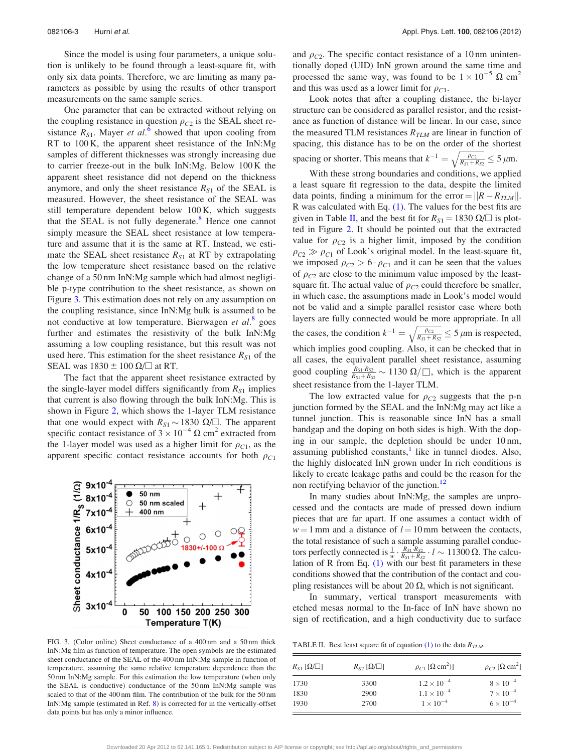Since the model is using four parameters, a unique solution is unlikely to be found through a least-square fit, with only six data points. Therefore, we are limiting as many parameters as possible by using the results of other transport measurements on the same sample series.

One parameter that can be extracted without relying on the coupling resistance in question  $\rho_{C2}$  is the SEAL sheet resistance  $R_{S1}$ . Mayer *et al.*<sup>[6](#page-4-0)</sup> showed that upon cooling from RT to 100 K, the apparent sheet resistance of the InN:Mg samples of different thicknesses was strongly increasing due to carrier freeze-out in the bulk InN:Mg. Below 100 K the apparent sheet resistance did not depend on the thickness anymore, and only the sheet resistance  $R_{S1}$  of the SEAL is measured. However, the sheet resistance of the SEAL was still temperature dependent below 100 K, which suggests that the SEAL is not fully degenerate. $\delta$  Hence one cannot simply measure the SEAL sheet resistance at low temperature and assume that it is the same at RT. Instead, we estimate the SEAL sheet resistance  $R_{S1}$  at RT by extrapolating the low temperature sheet resistance based on the relative change of a 50 nm InN:Mg sample which had almost negligible p-type contribution to the sheet resistance, as shown on Figure 3. This estimation does not rely on any assumption on the coupling resistance, since InN:Mg bulk is assumed to be not conductive at low temperature. Bierwagen et  $al$ <sup>[8](#page-4-0)</sup> goes further and estimates the resistivity of the bulk InN:Mg assuming a low coupling resistance, but this result was not used here. This estimation for the sheet resistance  $R_{S1}$  of the SEAL was  $1830 \pm 100 \Omega/\Box$  at RT.

The fact that the apparent sheet resistance extracted by the single-layer model differs significantly from  $R_{S1}$  implies that current is also flowing through the bulk InN:Mg. This is shown in Figure [2](#page-2-0), which shows the 1-layer TLM resistance that one would expect with  $R_{S1} \sim 1830 \Omega/\square$ . The apparent specific contact resistance of  $3 \times 10^{-4} \Omega \text{ cm}^2$  extracted from the 1-layer model was used as a higher limit for  $\rho_{C1}$ , as the apparent specific contact resistance accounts for both  $\rho_{C1}$ 



FIG. 3. (Color online) Sheet conductance of a 400 nm and a 50 nm thick InN:Mg film as function of temperature. The open symbols are the estimated sheet conductance of the SEAL of the 400 nm InN:Mg sample in function of temperature, assuming the same relative temperature dependence than the 50 nm InN:Mg sample. For this estimation the low temperature (when only the SEAL is conductive) conductance of the 50 nm InN:Mg sample was scaled to that of the 400 nm film. The contribution of the bulk for the 50 nm InN:Mg sample (estimated in Ref. [8](#page-4-0)) is corrected for in the vertically-offset data points but has only a minor influence.

and  $\rho_{C2}$ . The specific contact resistance of a 10 nm unintentionally doped (UID) InN grown around the same time and processed the same way, was found to be  $1 \times 10^{-5}$   $\Omega$  cm<sup>2</sup> and this was used as a lower limit for  $\rho_{C1}$ .

Look notes that after a coupling distance, the bi-layer structure can be considered as parallel resistor, and the resistance as function of distance will be linear. In our case, since the measured TLM resistances  $R_{TLM}$  are linear in function of spacing, this distance has to be on the order of the shortest spacing or shorter. This means that  $k^{-1} = \sqrt{\frac{\rho_{C2}}{R_{S1} + R_{S2}}}$  $\overline{\phantom{a}}$  $\leq$  5  $\mu$ m.

With these strong boundaries and conditions, we applied a least square fit regression to the data, despite the limited data points, finding a minimum for the error  $= ||R - R_{TLM}||$ . R was calculated with Eq. [\(1\)](#page-2-0). The values for the best fits are given in Table II, and the best fit for  $R_{S1} = 1830 \Omega / \Box$  is plotted in Figure [2.](#page-2-0) It should be pointed out that the extracted value for  $\rho_{C2}$  is a higher limit, imposed by the condition  $\rho_{C2} \gg \rho_{C1}$  of Look's original model. In the least-square fit, we imposed  $\rho_{C2} > 6 \cdot \rho_{C1}$  and it can be seen that the values of  $\rho_{C2}$  are close to the minimum value imposed by the leastsquare fit. The actual value of  $\rho_{C2}$  could therefore be smaller, in which case, the assumptions made in Look's model would not be valid and a simple parallel resistor case where both layers are fully connected would be more appropriate. In all the cases, the condition  $k^{-1} = \sqrt{\frac{\rho_{C2}}{R_{S1} + R_{S2}}}$  $\overline{\phantom{a}}$  $\leq$  5  $\mu$ m is respected, which implies good coupling. Also, it can be checked that in all cases, the equivalent parallel sheet resistance, assuming good coupling  $\frac{R_{S1}R_{S2}}{R_{S1}+R_{S2}} \sim 1130 \Omega / \square$ , which is the apparent sheet resistance from the 1-layer TLM.

The low extracted value for  $\rho_{C2}$  suggests that the p-n junction formed by the SEAL and the InN:Mg may act like a tunnel junction. This is reasonable since InN has a small bandgap and the doping on both sides is high. With the doping in our sample, the depletion should be under 10 nm, assuming published constants, $\frac{1}{1}$  $\frac{1}{1}$  $\frac{1}{1}$  like in tunnel diodes. Also, the highly dislocated InN grown under In rich conditions is likely to create leakage paths and could be the reason for the non rectifying behavior of the junction.<sup>[12](#page-4-0)</sup>

In many studies about InN:Mg, the samples are unprocessed and the contacts are made of pressed down indium pieces that are far apart. If one assumes a contact width of  $w = 1$  mm and a distance of  $l = 10$  mm between the contacts, the total resistance of such a sample assuming parallel conductors perfectly connected is  $\frac{1}{w} \cdot \frac{R_{S1} \cdot R_{S2}}{R_{S1} + R_{S2}} \cdot l \sim 11300 \Omega$ . The calculation of R from Eq.  $(1)$  with our best fit parameters in these conditions showed that the contribution of the contact and coupling resistances will be about 20  $\Omega$ , which is not significant.

In summary, vertical transport measurements with etched mesas normal to the In-face of InN have shown no sign of rectification, and a high conductivity due to surface

TABLE II. Best least square fit of equation [\(1\)](#page-2-0) to the data  $R_{TLM}$ .

| $R_{S1}$ [ $\Omega/\Box$ ] | $R_{S2}$ [ $\Omega/\Box$ ] | $\rho_{C1}$ [ $\Omega$ cm <sup>2</sup> )] | $\rho_{C2}$ [ $\Omega$ cm <sup>2</sup> ] |
|----------------------------|----------------------------|-------------------------------------------|------------------------------------------|
| 1730                       | 3300                       | $1.2 \times 10^{-4}$                      | $8 \times 10^{-4}$                       |
| 1830                       | 2900                       | $1.1 \times 10^{-4}$                      | $7 \times 10^{-4}$                       |
| 1930                       | 2700                       | $1 \times 10^{-4}$                        | $6 \times 10^{-4}$                       |